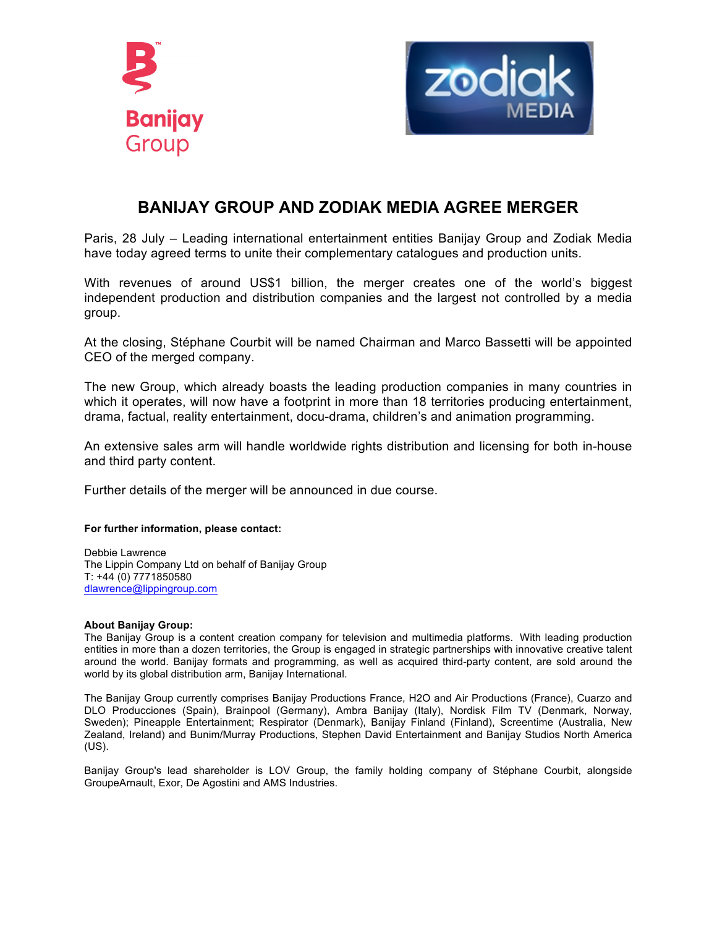



## **BANIJAY GROUP AND ZODIAK MEDIA AGREE MERGER**

Paris, 28 July – Leading international entertainment entities Banijay Group and Zodiak Media have today agreed terms to unite their complementary catalogues and production units.

With revenues of around US\$1 billion, the merger creates one of the world's biggest independent production and distribution companies and the largest not controlled by a media group.

At the closing, Stéphane Courbit will be named Chairman and Marco Bassetti will be appointed CEO of the merged company.

The new Group, which already boasts the leading production companies in many countries in which it operates, will now have a footprint in more than 18 territories producing entertainment. drama, factual, reality entertainment, docu-drama, children's and animation programming.

An extensive sales arm will handle worldwide rights distribution and licensing for both in-house and third party content.

Further details of the merger will be announced in due course.

## **For further information, please contact:**

Debbie Lawrence The Lippin Company Ltd on behalf of Banijay Group T: +44 (0) 7771850580 dlawrence@lippingroup.com

## **About Banijay Group:**

The Banijay Group is a content creation company for television and multimedia platforms. With leading production entities in more than a dozen territories, the Group is engaged in strategic partnerships with innovative creative talent around the world. Banijay formats and programming, as well as acquired third-party content, are sold around the world by its global distribution arm, Banijay International.

The Banijay Group currently comprises Banijay Productions France, H2O and Air Productions (France), Cuarzo and DLO Producciones (Spain), Brainpool (Germany), Ambra Banijay (Italy), Nordisk Film TV (Denmark, Norway, Sweden); Pineapple Entertainment; Respirator (Denmark), Banijay Finland (Finland), Screentime (Australia, New Zealand, Ireland) and Bunim/Murray Productions, Stephen David Entertainment and Banijay Studios North America (US).

Banijay Group's lead shareholder is LOV Group, the family holding company of Stéphane Courbit, alongside GroupeArnault, Exor, De Agostini and AMS Industries.